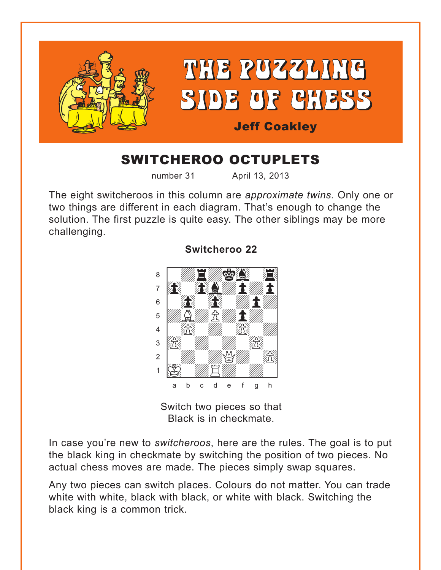<span id="page-0-0"></span>

# SWITCHEROO OCTUPLETS

number 31 April 13, 2013

The eight switcheroos in this column are *approximate twins.* Only one or two things are different in each diagram. That's enough to change the solution. The first puzzle is quite easy. The other siblings may be more challenging.

**[Switcheroo 22](#page-5-0)**



Switch two pieces so that Black is in checkmate.

In case you're new to *switcheroos*, here are the rules. The goal is to put the black king in checkmate by switching the position of two pieces. No actual chess moves are made. The pieces simply swap squares.

Any two pieces can switch places. Colours do not matter. You can trade white with white, black with black, or white with black. Switching the black king is a common trick.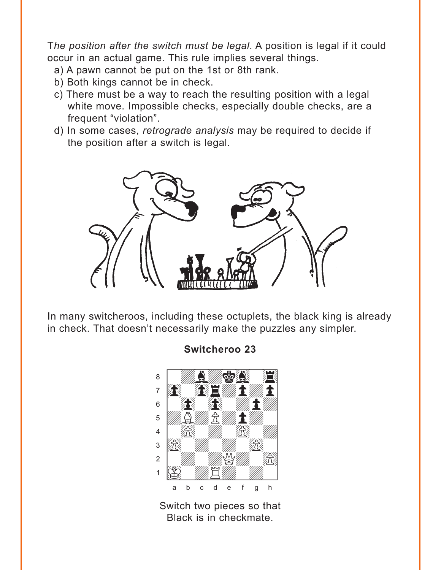<span id="page-1-0"></span>The position after the switch must be legal. A position is legal if it could occur in an actual game. This rule implies several things.

- a) A pawn cannot be put on the 1st or 8th rank.
- b) Both kings cannot be in check.
- c) There must be a way to reach the resulting position with a legal white move. Impossible checks, especially double checks, are a frequent "violation".
- d) In some cases, retrograde analysis may be required to decide if the position after a switch is legal.



In many switcheroos, including these octuplets, the black king is already in check. That doesn't necessarily make the puzzles any simpler.



Switch two pieces so that Black is in checkmate.

# **Switcheroo 23**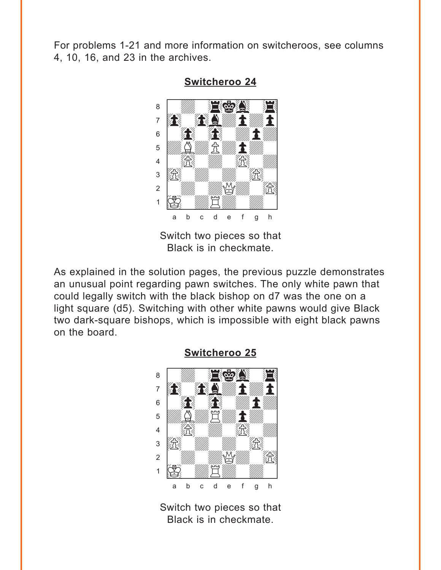<span id="page-2-0"></span>For problems 1-21 and more information on switcheroos, see columns 4, 10, 16, and 23 in the archives.



**Switcheroo 24** 

Switch two pieces so that Black is in checkmate.

As explained in the solution pages, the previous puzzle demonstrates an unusual point regarding pawn switches. The only white pawn that could legally switch with the black bishop on d7 was the one on a light square (d5). Switching with other white pawns would give Black two dark-square bishops, which is impossible with eight black pawns on the board.



**Switcheroo 25** 

Switch two pieces so that Black is in checkmate.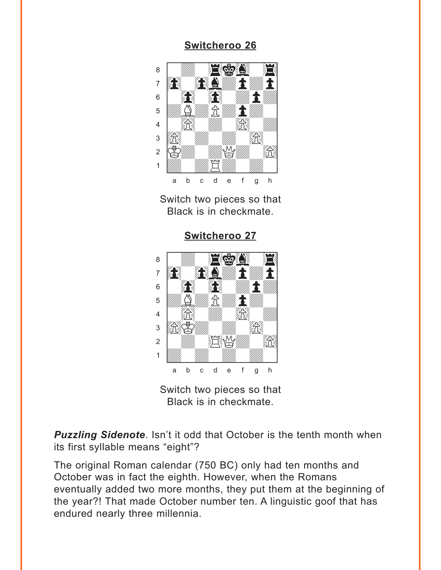<span id="page-3-0"></span>

Switch two pieces so that Black is in checkmate.

**[Switcheroo 27](#page-7-0)**



Switch two pieces so that Black is in checkmate.

*Puzzling Sidenote*. Isn't it odd that October is the tenth month when its first syllable means "eight"?

The original Roman calendar (750 BC) only had ten months and October was in fact the eighth. However, when the Romans eventually added two more months, they put them at the beginning of the year?! That made October number ten. A linguistic goof that has endured nearly three millennia.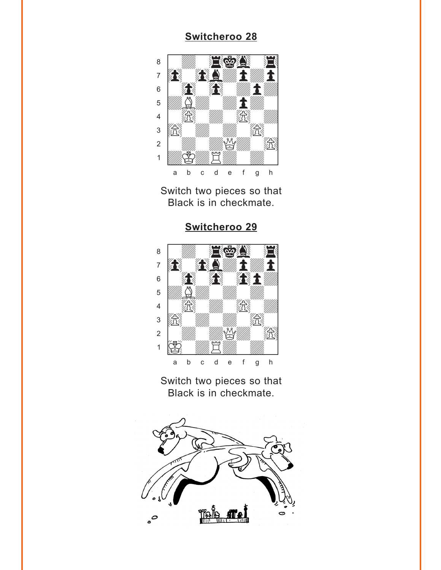<span id="page-4-0"></span>

Switch two pieces so that Black is in checkmate.





Switch two pieces so that Black is in checkmate.

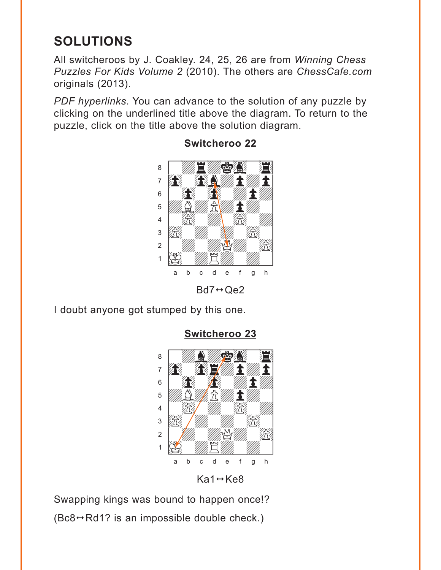# <span id="page-5-0"></span>**SOLUTIONS**

All switcheroos by J. Coakley. 24, 25, 26 are from *Winning Chess Puzzles For Kids Volume 2* (2010). The others are *ChessCafe.com* originals (2013).

*PDF hyperlinks*. You can advance to the solution of any puzzle by clicking on the underlined title above the diagram. To return to the puzzle, click on the title above the solution diagram.



### **[Switcheroo 22](#page-0-0)**

 $Bd7 \leftrightarrow Qe2$ 

I doubt anyone got stumped by this one.



# **[Switcheroo 23](#page-1-0)**

 $Ka1 \leftrightarrow Ke8$ 

Swapping kings was bound to happen once!?  $(Be8 \rightarrow Rd1$ ? is an impossible double check.)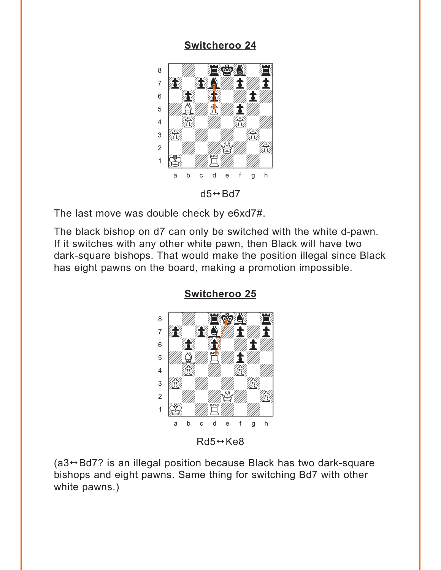<span id="page-6-0"></span>

The last move was double check by e6xd7#.

The black bishop on d7 can only be switched with the white d-pawn. If it switches with any other white pawn, then Black will have two dark-square bishops. That would make the position illegal since Black has eight pawns on the board, making a promotion impossible.



**[Switcheroo 25](#page-2-0)**

 $(a3 \rightarrow Bd7$ ? is an illegal position because Black has two dark-square bishops and eight pawns. Same thing for switching Bd7 with other white pawns.)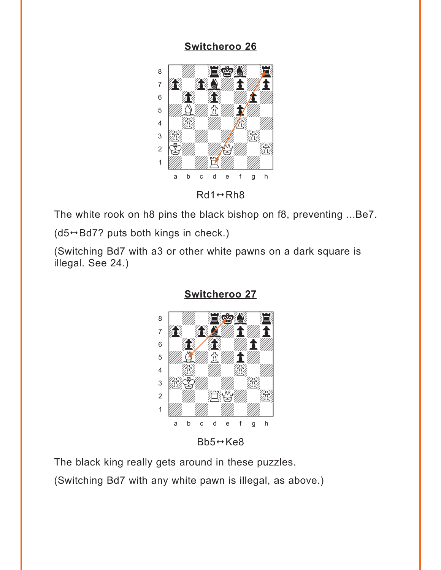<span id="page-7-0"></span>

The white rook on h8 pins the black bishop on f8, preventing ...Be7.

 $(d5 \leftrightarrow Bd7$ ? puts both kings in check.)

(Switching Bd7 with a3 or other white pawns on a dark square is illegal. See 24.)



**[Switcheroo 27](#page-3-0)**

The black king really gets around in these puzzles.

(Switching Bd7 with any white pawn is illegal, as above.)